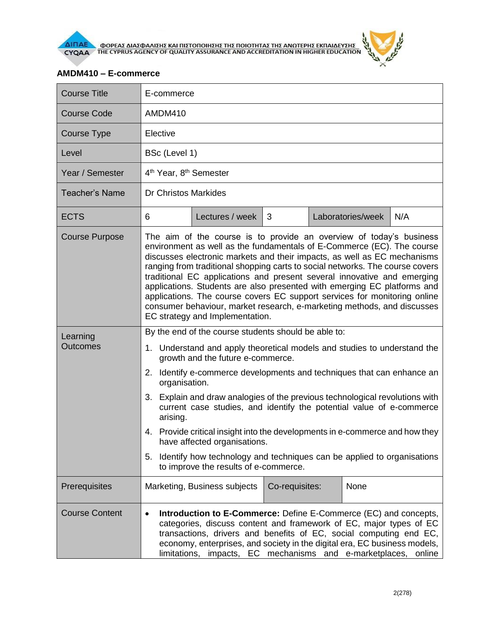

**AIFIAE A OOPEAE AIAE DANIERE KAI FILETOFIOIRERE THE FIOIOTHTAE THE ANOTEPHE EKFIAIAEYERE** 

## **AMDM410 – E-commerce**

| <b>Course Title</b>         | E-commerce                                                                                                                                                                                                                                                                                                                                                                                                                                                                                                                                                                                                                                                   |                              |                |  |                   |     |  |
|-----------------------------|--------------------------------------------------------------------------------------------------------------------------------------------------------------------------------------------------------------------------------------------------------------------------------------------------------------------------------------------------------------------------------------------------------------------------------------------------------------------------------------------------------------------------------------------------------------------------------------------------------------------------------------------------------------|------------------------------|----------------|--|-------------------|-----|--|
| <b>Course Code</b>          | AMDM410                                                                                                                                                                                                                                                                                                                                                                                                                                                                                                                                                                                                                                                      |                              |                |  |                   |     |  |
| Course Type                 | Elective                                                                                                                                                                                                                                                                                                                                                                                                                                                                                                                                                                                                                                                     |                              |                |  |                   |     |  |
| Level                       | BSc (Level 1)                                                                                                                                                                                                                                                                                                                                                                                                                                                                                                                                                                                                                                                |                              |                |  |                   |     |  |
| Year / Semester             | 4 <sup>th</sup> Year, 8 <sup>th</sup> Semester                                                                                                                                                                                                                                                                                                                                                                                                                                                                                                                                                                                                               |                              |                |  |                   |     |  |
| <b>Teacher's Name</b>       | <b>Dr Christos Markides</b>                                                                                                                                                                                                                                                                                                                                                                                                                                                                                                                                                                                                                                  |                              |                |  |                   |     |  |
| <b>ECTS</b>                 | 6                                                                                                                                                                                                                                                                                                                                                                                                                                                                                                                                                                                                                                                            | Lectures / week              | 3              |  | Laboratories/week | N/A |  |
| <b>Course Purpose</b>       | The aim of the course is to provide an overview of today's business<br>environment as well as the fundamentals of E-Commerce (EC). The course<br>discusses electronic markets and their impacts, as well as EC mechanisms<br>ranging from traditional shopping carts to social networks. The course covers<br>traditional EC applications and present several innovative and emerging<br>applications. Students are also presented with emerging EC platforms and<br>applications. The course covers EC support services for monitoring online<br>consumer behaviour, market research, e-marketing methods, and discusses<br>EC strategy and Implementation. |                              |                |  |                   |     |  |
| Learning<br><b>Outcomes</b> | By the end of the course students should be able to:                                                                                                                                                                                                                                                                                                                                                                                                                                                                                                                                                                                                         |                              |                |  |                   |     |  |
|                             | 1. Understand and apply theoretical models and studies to understand the<br>growth and the future e-commerce.                                                                                                                                                                                                                                                                                                                                                                                                                                                                                                                                                |                              |                |  |                   |     |  |
|                             | Identify e-commerce developments and techniques that can enhance an<br>2.<br>organisation.                                                                                                                                                                                                                                                                                                                                                                                                                                                                                                                                                                   |                              |                |  |                   |     |  |
|                             | 3. Explain and draw analogies of the previous technological revolutions with<br>current case studies, and identify the potential value of e-commerce<br>arising.                                                                                                                                                                                                                                                                                                                                                                                                                                                                                             |                              |                |  |                   |     |  |
|                             | 4. Provide critical insight into the developments in e-commerce and how they<br>have affected organisations.                                                                                                                                                                                                                                                                                                                                                                                                                                                                                                                                                 |                              |                |  |                   |     |  |
|                             | Identify how technology and techniques can be applied to organisations<br>5.<br>to improve the results of e-commerce.                                                                                                                                                                                                                                                                                                                                                                                                                                                                                                                                        |                              |                |  |                   |     |  |
| Prerequisites               |                                                                                                                                                                                                                                                                                                                                                                                                                                                                                                                                                                                                                                                              | Marketing, Business subjects | Co-requisites: |  | None              |     |  |
| <b>Course Content</b>       | <b>Introduction to E-Commerce:</b> Define E-Commerce (EC) and concepts,<br>$\bullet$<br>categories, discuss content and framework of EC, major types of EC<br>transactions, drivers and benefits of EC, social computing end EC,<br>economy, enterprises, and society in the digital era, EC business models,<br>limitations, impacts, EC mechanisms and e-marketplaces, online                                                                                                                                                                                                                                                                              |                              |                |  |                   |     |  |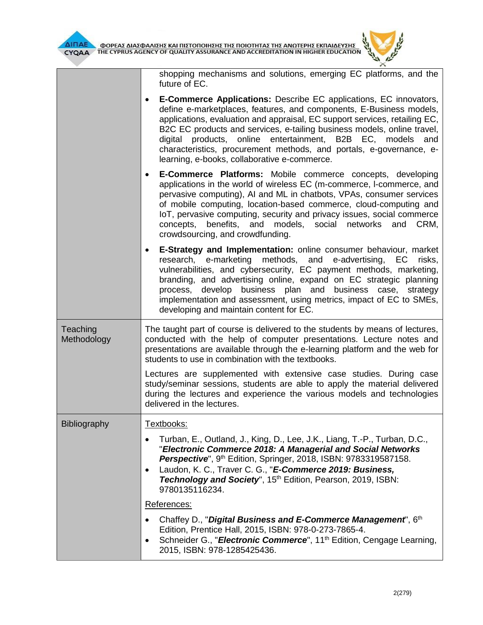shopping mechanisms and solutions, emerging EC platforms, and the future of EC.

| <b>E-Commerce Applications:</b> Describe EC applications, EC innovators,<br>$\bullet$<br>define e-marketplaces, features, and components, E-Business models,<br>applications, evaluation and appraisal, EC support services, retailing EC,<br>B2C EC products and services, e-tailing business models, online travel,<br>digital products, online entertainment, B2B EC, models and<br>characteristics, procurement methods, and portals, e-governance, e-<br>learning, e-books, collaborative e-commerce. |  |  |  |  |
|------------------------------------------------------------------------------------------------------------------------------------------------------------------------------------------------------------------------------------------------------------------------------------------------------------------------------------------------------------------------------------------------------------------------------------------------------------------------------------------------------------|--|--|--|--|
| <b>E-Commerce Platforms:</b> Mobile commerce concepts, developing<br>$\bullet$<br>applications in the world of wireless EC (m-commerce, I-commerce, and<br>pervasive computing), AI and ML in chatbots, VPAs, consumer services<br>of mobile computing, location-based commerce, cloud-computing and<br>IoT, pervasive computing, security and privacy issues, social commerce<br>concepts, benefits, and models, social networks and<br>CRM,<br>crowdsourcing, and crowdfunding.                          |  |  |  |  |
| E-Strategy and Implementation: online consumer behaviour, market<br>$\bullet$<br>research, e-marketing methods, and e-advertising, EC<br>risks,<br>vulnerabilities, and cybersecurity, EC payment methods, marketing,<br>branding, and advertising online, expand on EC strategic planning<br>process, develop business plan and<br>business case, strategy<br>implementation and assessment, using metrics, impact of EC to SMEs,<br>developing and maintain content for EC.                              |  |  |  |  |
| The taught part of course is delivered to the students by means of lectures,<br>conducted with the help of computer presentations. Lecture notes and<br>presentations are available through the e-learning platform and the web for<br>students to use in combination with the textbooks.                                                                                                                                                                                                                  |  |  |  |  |
| Lectures are supplemented with extensive case studies. During case<br>study/seminar sessions, students are able to apply the material delivered<br>during the lectures and experience the various models and technologies<br>delivered in the lectures.                                                                                                                                                                                                                                                    |  |  |  |  |
| Textbooks:                                                                                                                                                                                                                                                                                                                                                                                                                                                                                                 |  |  |  |  |
| Turban, E., Outland, J., King, D., Lee, J.K., Liang, T.-P., Turban, D.C.,<br>Electronic Commerce 2018: A Managerial and Social Networks<br>Perspective", 9 <sup>th</sup> Edition, Springer, 2018, ISBN: 9783319587158.<br>Laudon, K. C., Traver C. G., "E-Commerce 2019: Business,<br>$\bullet$<br>Technology and Society", 15th Edition, Pearson, 2019, ISBN:<br>9780135116234.                                                                                                                           |  |  |  |  |
| References:                                                                                                                                                                                                                                                                                                                                                                                                                                                                                                |  |  |  |  |
| Chaffey D., "Digital Business and E-Commerce Management", 6th<br>Edition, Prentice Hall, 2015, ISBN: 978-0-273-7865-4.<br>Schneider G., "Electronic Commerce", 11 <sup>th</sup> Edition, Cengage Learning,<br>$\bullet$                                                                                                                                                                                                                                                                                    |  |  |  |  |
|                                                                                                                                                                                                                                                                                                                                                                                                                                                                                                            |  |  |  |  |